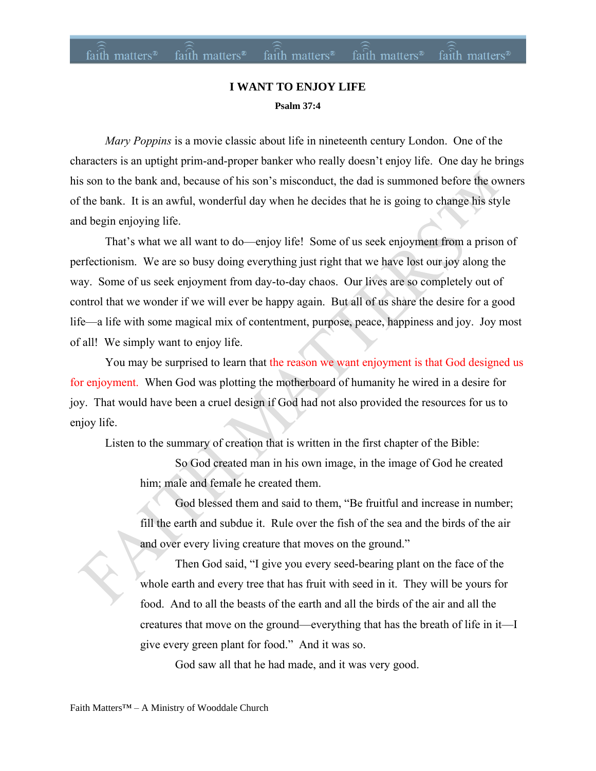#### **I WANT TO ENJOY LIFE Psalm 37:4**

*Mary Poppins* is a movie classic about life in nineteenth century London. One of the characters is an uptight prim-and-proper banker who really doesn't enjoy life. One day he brings his son to the bank and, because of his son's misconduct, the dad is summoned before the owners of the bank. It is an awful, wonderful day when he decides that he is going to change his style and begin enjoying life.

That's what we all want to do—enjoy life! Some of us seek enjoyment from a prison of perfectionism. We are so busy doing everything just right that we have lost our joy along the way. Some of us seek enjoyment from day-to-day chaos. Our lives are so completely out of control that we wonder if we will ever be happy again. But all of us share the desire for a good life—a life with some magical mix of contentment, purpose, peace, happiness and joy. Joy most of all! We simply want to enjoy life.

You may be surprised to learn that the reason we want enjoyment is that God designed us for enjoyment. When God was plotting the motherboard of humanity he wired in a desire for joy. That would have been a cruel design if God had not also provided the resources for us to enjoy life.

Listen to the summary of creation that is written in the first chapter of the Bible:

So God created man in his own image, in the image of God he created him; male and female he created them.

God blessed them and said to them, "Be fruitful and increase in number; fill the earth and subdue it. Rule over the fish of the sea and the birds of the air and over every living creature that moves on the ground."

Then God said, "I give you every seed-bearing plant on the face of the whole earth and every tree that has fruit with seed in it. They will be yours for food. And to all the beasts of the earth and all the birds of the air and all the creatures that move on the ground—everything that has the breath of life in it—I give every green plant for food." And it was so.

God saw all that he had made, and it was very good.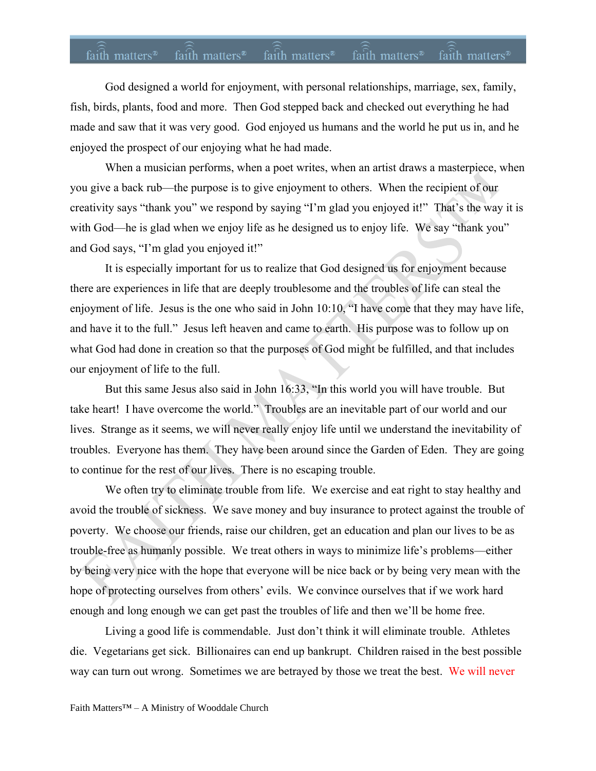## faith matters<sup>®</sup> faith matters<sup>®</sup> faith matters<sup>®</sup> faith matters<sup>®</sup> faith matters<sup>®</sup>

God designed a world for enjoyment, with personal relationships, marriage, sex, family, fish, birds, plants, food and more. Then God stepped back and checked out everything he had made and saw that it was very good. God enjoyed us humans and the world he put us in, and he enjoyed the prospect of our enjoying what he had made.

When a musician performs, when a poet writes, when an artist draws a masterpiece, when you give a back rub—the purpose is to give enjoyment to others. When the recipient of our creativity says "thank you" we respond by saying "I'm glad you enjoyed it!" That's the way it is with God—he is glad when we enjoy life as he designed us to enjoy life. We say "thank you" and God says, "I'm glad you enjoyed it!"

It is especially important for us to realize that God designed us for enjoyment because there are experiences in life that are deeply troublesome and the troubles of life can steal the enjoyment of life. Jesus is the one who said in John 10:10, "I have come that they may have life, and have it to the full." Jesus left heaven and came to earth. His purpose was to follow up on what God had done in creation so that the purposes of God might be fulfilled, and that includes our enjoyment of life to the full.

But this same Jesus also said in John 16:33, "In this world you will have trouble. But take heart! I have overcome the world." Troubles are an inevitable part of our world and our lives. Strange as it seems, we will never really enjoy life until we understand the inevitability of troubles. Everyone has them. They have been around since the Garden of Eden. They are going to continue for the rest of our lives. There is no escaping trouble.

We often try to eliminate trouble from life. We exercise and eat right to stay healthy and avoid the trouble of sickness. We save money and buy insurance to protect against the trouble of poverty. We choose our friends, raise our children, get an education and plan our lives to be as trouble-free as humanly possible. We treat others in ways to minimize life's problems—either by being very nice with the hope that everyone will be nice back or by being very mean with the hope of protecting ourselves from others' evils. We convince ourselves that if we work hard enough and long enough we can get past the troubles of life and then we'll be home free.

Living a good life is commendable. Just don't think it will eliminate trouble. Athletes die. Vegetarians get sick. Billionaires can end up bankrupt. Children raised in the best possible way can turn out wrong. Sometimes we are betrayed by those we treat the best. We will never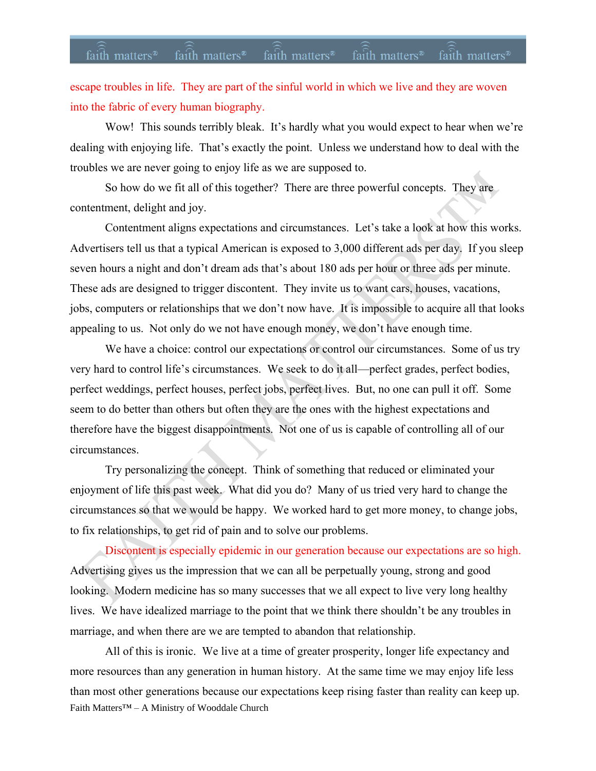#### faith matters<sup>®</sup> faith matters<sup>®</sup> faith matters® faith matters® faith matters<sup>®</sup>

escape troubles in life. They are part of the sinful world in which we live and they are woven into the fabric of every human biography.

Wow! This sounds terribly bleak. It's hardly what you would expect to hear when we're dealing with enjoying life. That's exactly the point. Unless we understand how to deal with the troubles we are never going to enjoy life as we are supposed to.

So how do we fit all of this together? There are three powerful concepts. They are contentment, delight and joy.

Contentment aligns expectations and circumstances. Let's take a look at how this works. Advertisers tell us that a typical American is exposed to 3,000 different ads per day. If you sleep seven hours a night and don't dream ads that's about 180 ads per hour or three ads per minute. These ads are designed to trigger discontent. They invite us to want cars, houses, vacations, jobs, computers or relationships that we don't now have. It is impossible to acquire all that looks appealing to us. Not only do we not have enough money, we don't have enough time.

We have a choice: control our expectations or control our circumstances. Some of us try very hard to control life's circumstances. We seek to do it all—perfect grades, perfect bodies, perfect weddings, perfect houses, perfect jobs, perfect lives. But, no one can pull it off. Some seem to do better than others but often they are the ones with the highest expectations and therefore have the biggest disappointments. Not one of us is capable of controlling all of our circumstances.

Try personalizing the concept. Think of something that reduced or eliminated your enjoyment of life this past week. What did you do? Many of us tried very hard to change the circumstances so that we would be happy. We worked hard to get more money, to change jobs, to fix relationships, to get rid of pain and to solve our problems.

Discontent is especially epidemic in our generation because our expectations are so high. Advertising gives us the impression that we can all be perpetually young, strong and good looking. Modern medicine has so many successes that we all expect to live very long healthy lives. We have idealized marriage to the point that we think there shouldn't be any troubles in marriage, and when there are we are tempted to abandon that relationship.

Faith Matters™ – A Ministry of Wooddale Church All of this is ironic. We live at a time of greater prosperity, longer life expectancy and more resources than any generation in human history. At the same time we may enjoy life less than most other generations because our expectations keep rising faster than reality can keep up.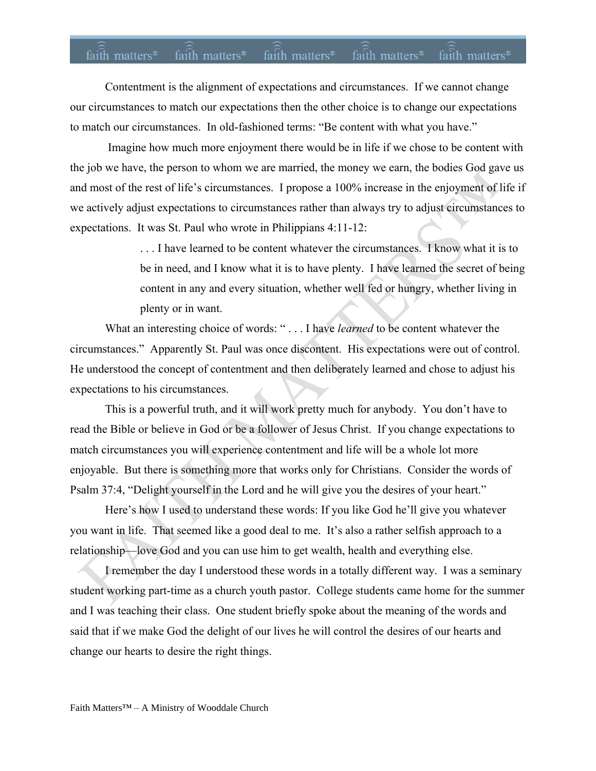## faith matters<sup>®</sup> faith matters<sup>®</sup> faith matters® faith matters® faith matters<sup>®</sup>

Contentment is the alignment of expectations and circumstances. If we cannot change our circumstances to match our expectations then the other choice is to change our expectations to match our circumstances. In old-fashioned terms: "Be content with what you have."

Imagine how much more enjoyment there would be in life if we chose to be content with the job we have, the person to whom we are married, the money we earn, the bodies God gave us and most of the rest of life's circumstances. I propose a 100% increase in the enjoyment of life if we actively adjust expectations to circumstances rather than always try to adjust circumstances to expectations. It was St. Paul who wrote in Philippians 4:11-12:

> . . . I have learned to be content whatever the circumstances. I know what it is to be in need, and I know what it is to have plenty. I have learned the secret of being content in any and every situation, whether well fed or hungry, whether living in plenty or in want.

What an interesting choice of words: "... I have *learned* to be content whatever the circumstances." Apparently St. Paul was once discontent. His expectations were out of control. He understood the concept of contentment and then deliberately learned and chose to adjust his expectations to his circumstances.

This is a powerful truth, and it will work pretty much for anybody. You don't have to read the Bible or believe in God or be a follower of Jesus Christ. If you change expectations to match circumstances you will experience contentment and life will be a whole lot more enjoyable. But there is something more that works only for Christians. Consider the words of Psalm 37:4, "Delight yourself in the Lord and he will give you the desires of your heart."

Here's how I used to understand these words: If you like God he'll give you whatever you want in life. That seemed like a good deal to me. It's also a rather selfish approach to a relationship—love God and you can use him to get wealth, health and everything else.

I remember the day I understood these words in a totally different way. I was a seminary student working part-time as a church youth pastor. College students came home for the summer and I was teaching their class. One student briefly spoke about the meaning of the words and said that if we make God the delight of our lives he will control the desires of our hearts and change our hearts to desire the right things.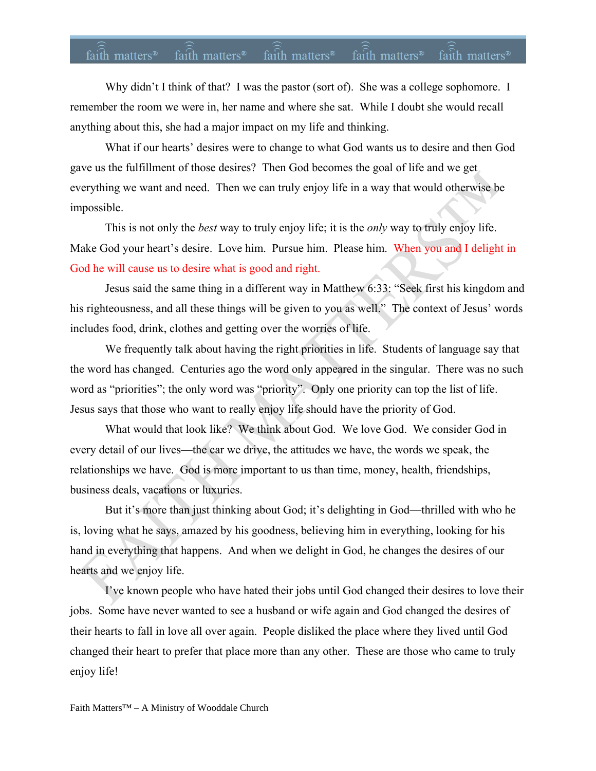#### faith matters<sup>®</sup> faith matters<sup>®</sup> faith matters<sup>®</sup> faith matters<sup>®</sup> faith matters®

Why didn't I think of that? I was the pastor (sort of). She was a college sophomore. I remember the room we were in, her name and where she sat. While I doubt she would recall anything about this, she had a major impact on my life and thinking.

What if our hearts' desires were to change to what God wants us to desire and then God gave us the fulfillment of those desires? Then God becomes the goal of life and we get everything we want and need. Then we can truly enjoy life in a way that would otherwise be impossible.

This is not only the *best* way to truly enjoy life; it is the *only* way to truly enjoy life. Make God your heart's desire. Love him. Pursue him. Please him. When you and I delight in God he will cause us to desire what is good and right.

Jesus said the same thing in a different way in Matthew 6:33: "Seek first his kingdom and his righteousness, and all these things will be given to you as well."The context of Jesus' words includes food, drink, clothes and getting over the worries of life.

We frequently talk about having the right priorities in life. Students of language say that the word has changed. Centuries ago the word only appeared in the singular. There was no such word as "priorities"; the only word was "priority". Only one priority can top the list of life. Jesus says that those who want to really enjoy life should have the priority of God.

What would that look like? We think about God. We love God. We consider God in every detail of our lives—the car we drive, the attitudes we have, the words we speak, the relationships we have. God is more important to us than time, money, health, friendships, business deals, vacations or luxuries.

But it's more than just thinking about God; it's delighting in God—thrilled with who he is, loving what he says, amazed by his goodness, believing him in everything, looking for his hand in everything that happens. And when we delight in God, he changes the desires of our hearts and we enjoy life.

I've known people who have hated their jobs until God changed their desires to love their jobs. Some have never wanted to see a husband or wife again and God changed the desires of their hearts to fall in love all over again. People disliked the place where they lived until God changed their heart to prefer that place more than any other. These are those who came to truly enjoy life!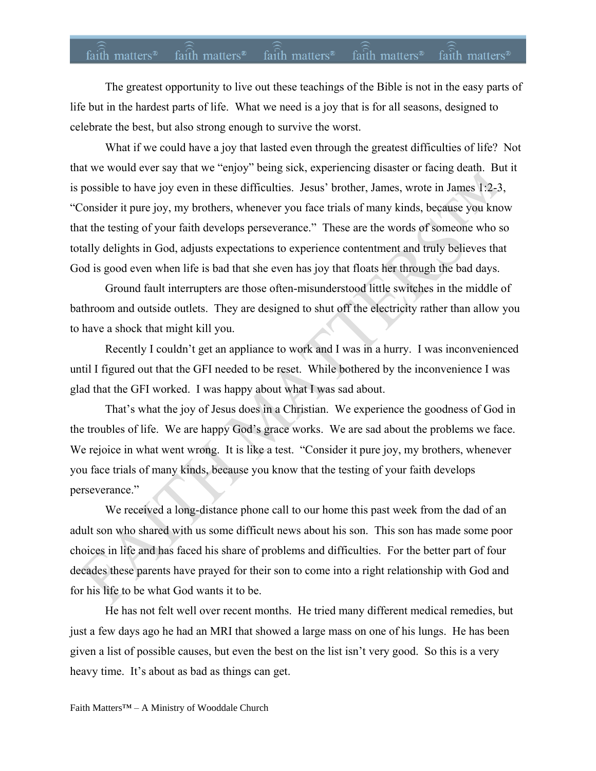# faith matters<sup>®</sup> faith matters<sup>®</sup> faith matters<sup>®</sup> faith matters<sup>®</sup> faith matters<sup>®</sup>

The greatest opportunity to live out these teachings of the Bible is not in the easy parts of life but in the hardest parts of life. What we need is a joy that is for all seasons, designed to celebrate the best, but also strong enough to survive the worst.

What if we could have a joy that lasted even through the greatest difficulties of life? Not that we would ever say that we "enjoy" being sick, experiencing disaster or facing death. But it is possible to have joy even in these difficulties. Jesus' brother, James, wrote in James 1:2-3, "Consider it pure joy, my brothers, whenever you face trials of many kinds, because you know that the testing of your faith develops perseverance." These are the words of someone who so totally delights in God, adjusts expectations to experience contentment and truly believes that God is good even when life is bad that she even has joy that floats her through the bad days.

Ground fault interrupters are those often-misunderstood little switches in the middle of bathroom and outside outlets. They are designed to shut off the electricity rather than allow you to have a shock that might kill you.

Recently I couldn't get an appliance to work and I was in a hurry. I was inconvenienced until I figured out that the GFI needed to be reset. While bothered by the inconvenience I was glad that the GFI worked. I was happy about what I was sad about.

That's what the joy of Jesus does in a Christian. We experience the goodness of God in the troubles of life. We are happy God's grace works. We are sad about the problems we face. We rejoice in what went wrong. It is like a test. "Consider it pure joy, my brothers, whenever you face trials of many kinds, because you know that the testing of your faith develops perseverance."

We received a long-distance phone call to our home this past week from the dad of an adult son who shared with us some difficult news about his son. This son has made some poor choices in life and has faced his share of problems and difficulties. For the better part of four decades these parents have prayed for their son to come into a right relationship with God and for his life to be what God wants it to be.

He has not felt well over recent months. He tried many different medical remedies, but just a few days ago he had an MRI that showed a large mass on one of his lungs. He has been given a list of possible causes, but even the best on the list isn't very good. So this is a very heavy time. It's about as bad as things can get.